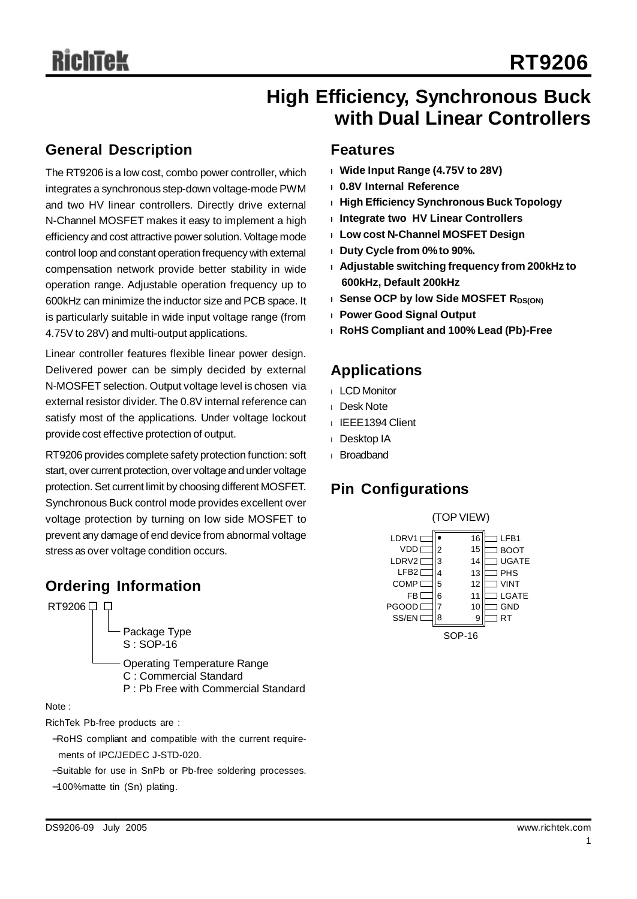# **High Efficiency, Synchronous Buck with Dual Linear Controllers**

# **General Description**

The RT9206 is a low cost, combo power controller, which integrates a synchronous step-down voltage-mode PWM and two HV linear controllers. Directly drive external N-Channel MOSFET makes it easy to implement a high efficiency and cost attractive power solution. Voltage mode control loop and constant operation frequency with external compensation network provide better stability in wide operation range. Adjustable operation frequency up to 600kHz can minimize the inductor size and PCB space. It is particularly suitable in wide input voltage range (from 4.75V to 28V) and multi-output applications.

Linear controller features flexible linear power design. Delivered power can be simply decided by external N-MOSFET selection. Output voltage level is chosen via external resistor divider. The 0.8V internal reference can satisfy most of the applications. Under voltage lockout provide cost effective protection of output.

RT9206 provides complete safety protection function: soft start, over current protection, over voltage and under voltage protection. Set current limit by choosing different MOSFET. Synchronous Buck control mode provides excellent over voltage protection by turning on low side MOSFET to prevent any damage of end device from abnormal voltage stress as over voltage condition occurs.

# **Ordering Information**



Package Type S : SOP-16

Operating Temperature Range

C : Commercial Standard

P : Pb Free with Commercial Standard

Note :

RichTek Pb-free products are :

- −RoHS compliant and compatible with the current requirements of IPC/JEDEC J-STD-020.
- −Suitable for use in SnPb or Pb-free soldering processes.
- −100%matte tin (Sn) plating.

# **Features**

- **<sup>l</sup> Wide Input Range (4.75V to 28V)**
- **<sup>l</sup> 0.8V Internal Reference**
- **<sup>l</sup> High Efficiency Synchronous Buck Topology**
- **<sup>l</sup> Integrate two HV Linear Controllers**
- **<sup>l</sup> Low cost N-Channel MOSFET Design**
- **<sup>l</sup> Duty Cycle from 0%to 90%.**
- **<sup>l</sup> Adjustable switching frequency from 200kHz to 600kHz, Default 200kHz**
- **l Sense OCP** by low Side MOSFET R<sub>DS(ON)</sub>
- **<sup>l</sup> Power Good Signal Output**
- **<sup>l</sup> RoHS Compliant and 100% Lead (Pb)-Free**

# **Applications**

- <sup>l</sup> LCD Monitor
- <sup>l</sup> Desk Note
- <sup>l</sup> IEEE1394 Client
- <sup>l</sup> Desktop IA
- <sup>l</sup> Broadband

# **Pin Configurations**

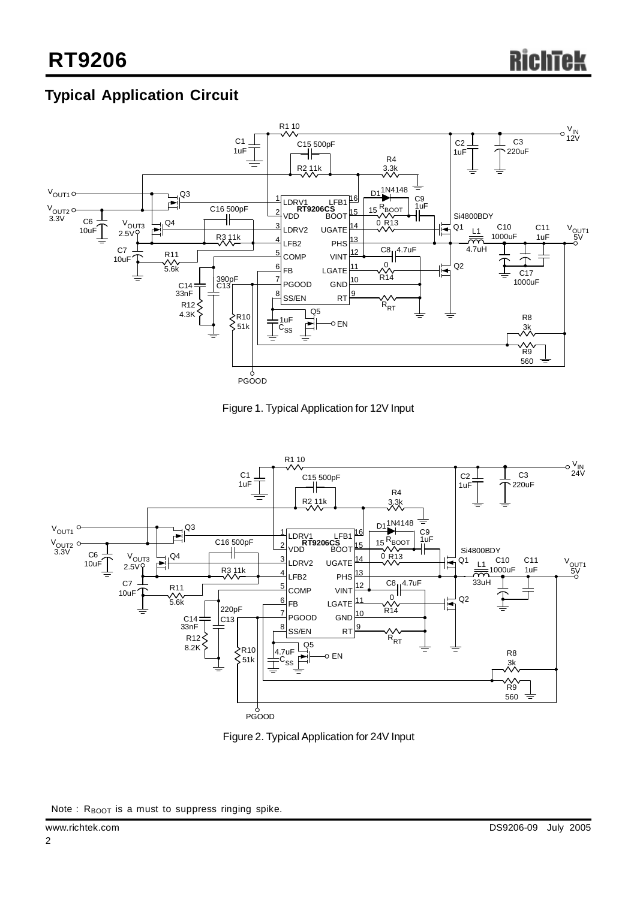# **Typical Application Circuit**









Note : R<sub>BOOT</sub> is a must to suppress ringing spike.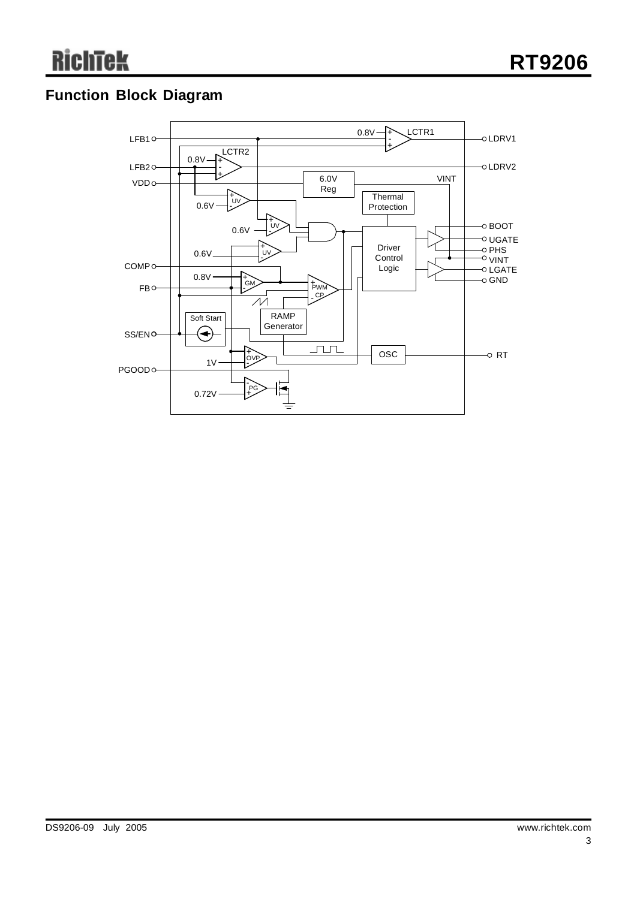# **Function Block Diagram**

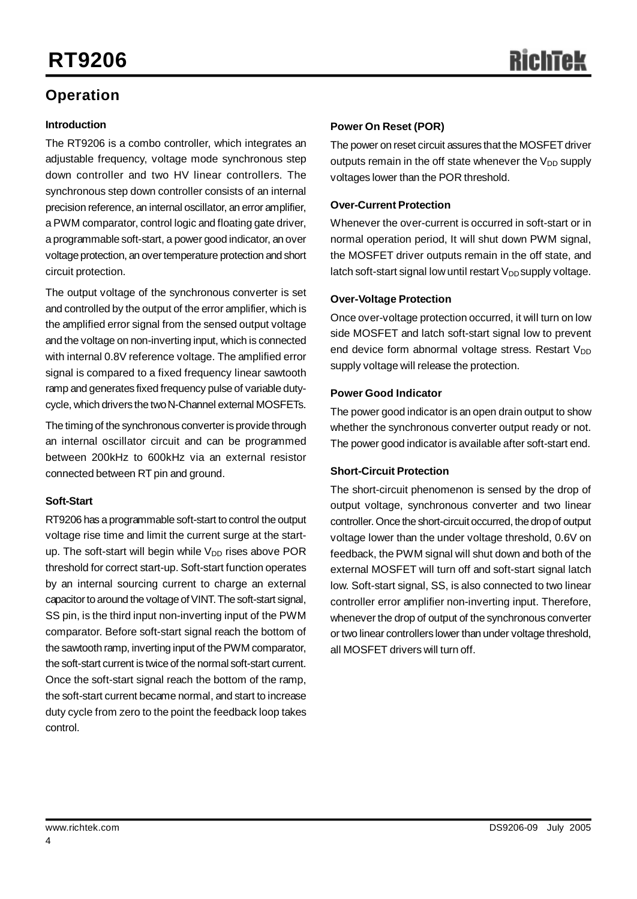# **Operation**

#### **Introduction**

The RT9206 is a combo controller, which integrates an adjustable frequency, voltage mode synchronous step down controller and two HV linear controllers. The synchronous step down controller consists of an internal precision reference, an internal oscillator, an error amplifier, a PWM comparator, control logic and floating gate driver, a programmable soft-start, a power good indicator, an over voltage protection, an over temperature protection and short circuit protection.

The output voltage of the synchronous converter is set and controlled by the output of the error amplifier, which is the amplified error signal from the sensed output voltage and the voltage on non-inverting input, which is connected with internal 0.8V reference voltage. The amplified error signal is compared to a fixed frequency linear sawtooth ramp and generates fixed frequency pulse of variable dutycycle, which drivers the twoN-Channel external MOSFETs.

The timing of the synchronous converter is provide through an internal oscillator circuit and can be programmed between 200kHz to 600kHz via an external resistor connected between RT pin and ground.

#### **Soft-Start**

RT9206 has a programmable soft-start to control the output voltage rise time and limit the current surge at the startup. The soft-start will begin while  $V_{DD}$  rises above POR threshold for correct start-up. Soft-start function operates by an internal sourcing current to charge an external capacitor to around the voltage of VINT. The soft-start signal, SS pin, is the third input non-inverting input of the PWM comparator. Before soft-start signal reach the bottom of the sawtooth ramp, inverting input of the PWM comparator, the soft-start current is twice of the normal soft-start current. Once the soft-start signal reach the bottom of the ramp, the soft-start current became normal, and start to increase duty cycle from zero to the point the feedback loop takes control.

### **Power On Reset (POR)**

The power on reset circuit assures that the MOSFET driver outputs remain in the off state whenever the  $V_{DD}$  supply voltages lower than the POR threshold.

## **Over-Current Protection**

Whenever the over-current is occurred in soft-start or in normal operation period, It will shut down PWM signal, the MOSFET driver outputs remain in the off state, and latch soft-start signal low until restart  $V_{DD}$  supply voltage.

## **Over-Voltage Protection**

Once over-voltage protection occurred, it will turn on low side MOSFET and latch soft-start signal low to prevent end device form abnormal voltage stress. Restart  $V_{DD}$ supply voltage will release the protection.

## **Power Good Indicator**

The power good indicator is an open drain output to show whether the synchronous converter output ready or not. The power good indicator is available after soft-start end.

#### **Short-Circuit Protection**

The short-circuit phenomenon is sensed by the drop of output voltage, synchronous converter and two linear controller. Once the short-circuit occurred, the drop of output voltage lower than the under voltage threshold, 0.6V on feedback, the PWM signal will shut down and both of the external MOSFET will turn off and soft-start signal latch low. Soft-start signal, SS, is also connected to two linear controller error amplifier non-inverting input. Therefore, whenever the drop of output of the synchronous converter or two linear controllers lower than under voltage threshold, all MOSFET drivers will turn off.

4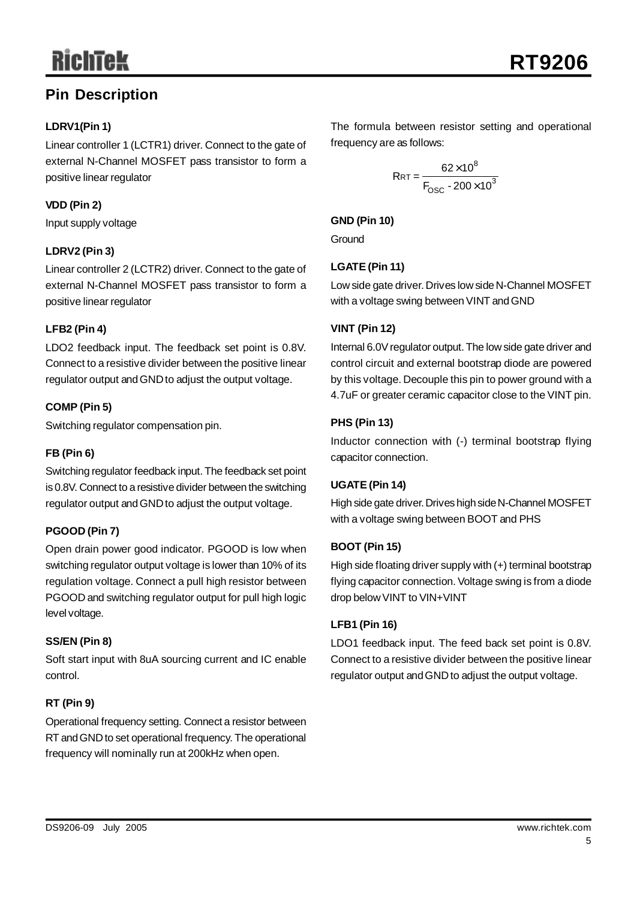# **Pin Description**

## **LDRV1(Pin 1)**

Linear controller 1 (LCTR1) driver. Connect to the gate of external N-Channel MOSFET pass transistor to form a positive linear regulator

## **VDD (Pin 2)**

Input supply voltage

## **LDRV2 (Pin 3)**

Linear controller 2 (LCTR2) driver. Connect to the gate of external N-Channel MOSFET pass transistor to form a positive linear regulator

## **LFB2 (Pin 4)**

LDO2 feedback input. The feedback set point is 0.8V. Connect to a resistive divider between the positive linear regulator output and GND to adjust the output voltage.

## **COMP (Pin 5)**

Switching regulator compensation pin.

## **FB (Pin 6)**

Switching regulator feedback input.The feedback set point is 0.8V. Connect to a resistive divider between the switching regulator output and GND to adjust the output voltage.

# **PGOOD (Pin 7)**

Open drain power good indicator. PGOOD is low when switching regulator output voltage is lower than 10% of its regulation voltage. Connect a pull high resistor between PGOOD and switching regulator output for pull high logic level voltage.

## **SS/EN (Pin 8)**

Soft start input with 8uA sourcing current and IC enable control.

# **RT (Pin 9)**

Operational frequency setting. Connect a resistor between RT and GND to set operational frequency. The operational frequency will nominally run at 200kHz when open.

The formula between resistor setting and operational frequency are as follows:

$$
RRT = \frac{62 \times 10^8}{F_{\text{OSC}} \cdot 200 \times 10^3}
$$

## **GND (Pin 10)**

**Ground** 

## **LGATE(Pin 11)**

Low side gate driver. Drives low side N-Channel MOSFET with a voltage swing between VINT and GND

## **VINT (Pin 12)**

Internal 6.0V regulator output. The low side gate driver and control circuit and external bootstrap diode are powered by this voltage. Decouple this pin to power ground with a 4.7uF or greater ceramic capacitor close to the VINT pin.

## **PHS (Pin 13)**

Inductor connection with (-) terminal bootstrap flying capacitor connection.

## **UGATE(Pin 14)**

High side gate driver. Drives high side N-Channel MOSFET with a voltage swing between BOOT and PHS

## **BOOT (Pin 15)**

High side floating driver supply with (+) terminal bootstrap flying capacitor connection. Voltage swing is from a diode drop below VINT to VIN+VINT

## **LFB1 (Pin 16)**

LDO1 feedback input. The feed back set point is 0.8V. Connect to a resistive divider between the positive linear regulator output and GND to adjust the output voltage.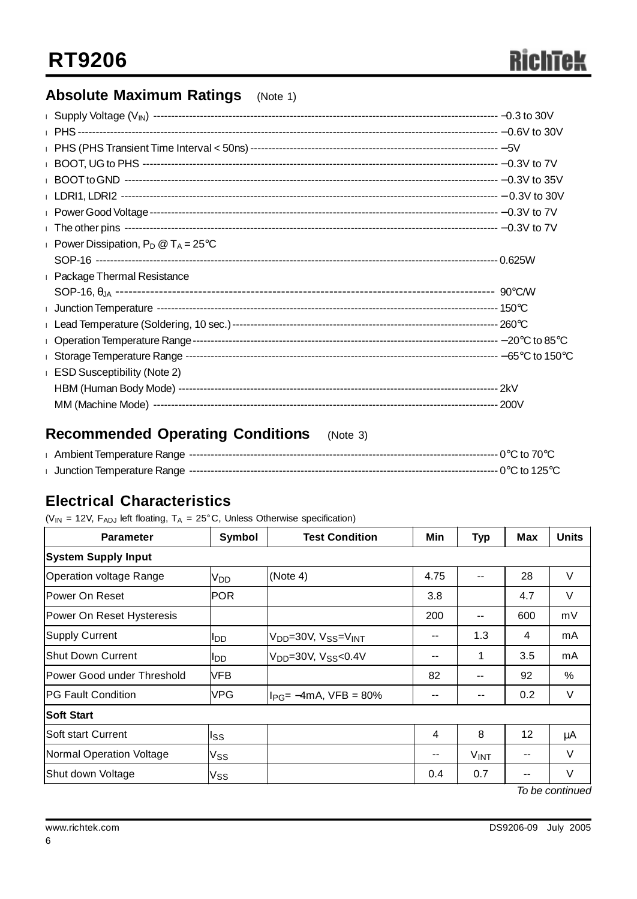# **Absolute Maximum Ratings** (Note 1)

| Power Dissipation, $P_D @ T_A = 25^{\circ}C$ |  |
|----------------------------------------------|--|
|                                              |  |
| <b>Package Thermal Resistance</b>            |  |
|                                              |  |
|                                              |  |
|                                              |  |
|                                              |  |
|                                              |  |
| <b>I</b> ESD Susceptibility (Note 2)         |  |
|                                              |  |
|                                              |  |

# **Recommended Operating Conditions** (Note 3)

# **Electrical Characteristics**

( $V_{IN}$  = 12V,  $F_{ADJ}$  left floating,  $T_A$  = 25°C, Unless Otherwise specification)

| <b>Parameter</b>           | Symbol          | <b>Test Condition</b>                                   | Min   | <b>Typ</b>  | Max | <b>Units</b> |  |
|----------------------------|-----------------|---------------------------------------------------------|-------|-------------|-----|--------------|--|
| <b>System Supply Input</b> |                 |                                                         |       |             |     |              |  |
| Operation voltage Range    | V <sub>DD</sub> | (Note 4)                                                | 4.75  | $-$         | 28  | V            |  |
| lPower On Reset            | <b>POR</b>      |                                                         | 3.8   |             | 4.7 | V            |  |
| Power On Reset Hysteresis  |                 |                                                         | 200   | $- -$       | 600 | mV           |  |
| Supply Current             | <b>I</b> DD     | V <sub>DD</sub> =30V, V <sub>SS</sub> =V <sub>INT</sub> | --    | 1.3         | 4   | mA           |  |
| Shut Down Current          | <b>I</b> DD     | $V_{DD} = 30V$ , $V_{SS} < 0.4V$                        | --    | 1           | 3.5 | mA           |  |
| Power Good under Threshold | <b>VFB</b>      |                                                         | 82    | --          | 92  | %            |  |
| <b>IPG Fault Condition</b> | <b>VPG</b>      | $ I_{PG}$ = -4mA, VFB = 80%                             | --    | $- -$       | 0.2 | V            |  |
| <b>Soft Start</b>          |                 |                                                         |       |             |     |              |  |
| lSoft start Current        | Iss             |                                                         | 4     | 8           | 12  | μA           |  |
| Normal Operation Voltage   | Vss             |                                                         | $- -$ | <b>VINT</b> |     | $\vee$       |  |
| Shut down Voltage          | Vss             |                                                         | 0.4   | 0.7         |     | $\vee$       |  |

*To be continued*

6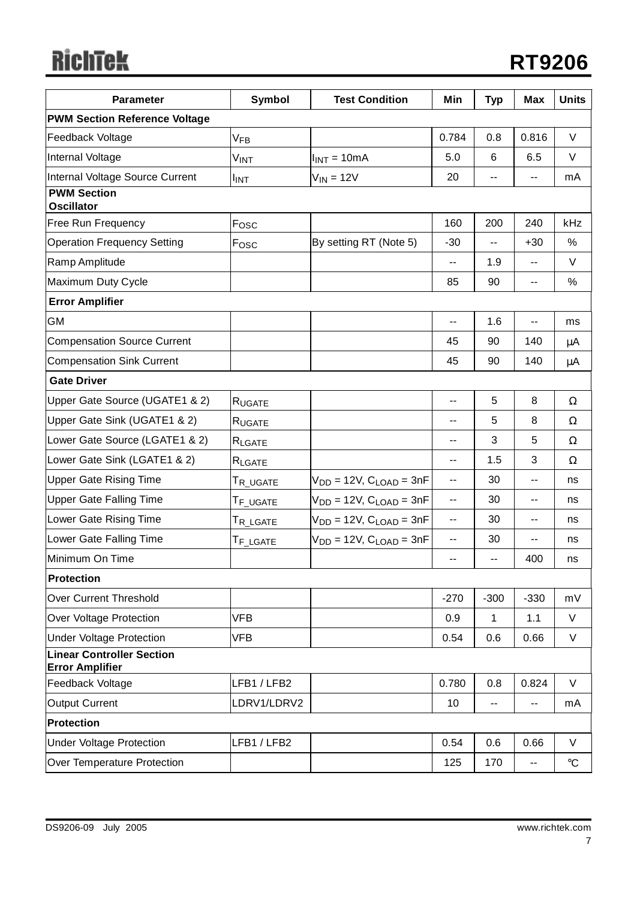# **RichTek**

| <b>Parameter</b>                                           | Symbol                   | <b>Test Condition</b>             | Min    | <b>Typ</b>               | <b>Max</b>               | <b>Units</b>      |  |
|------------------------------------------------------------|--------------------------|-----------------------------------|--------|--------------------------|--------------------------|-------------------|--|
| <b>PWM Section Reference Voltage</b>                       |                          |                                   |        |                          |                          |                   |  |
| Feedback Voltage                                           | V <sub>FB</sub>          |                                   | 0.784  | 0.8                      | 0.816                    | V                 |  |
| Internal Voltage                                           | Vint                     | $I_{INT} = 10mA$                  | 5.0    | 6                        | 6.5                      | V                 |  |
| Internal Voltage Source Current                            | <b>IINT</b>              | $V_{IN} = 12V$                    | 20     | --                       | --                       | mA                |  |
| <b>PWM Section</b><br><b>Oscillator</b>                    |                          |                                   |        |                          |                          |                   |  |
| Free Run Frequency                                         | Fosc                     |                                   | 160    | 200                      | 240                      | kHz               |  |
| <b>Operation Frequency Setting</b>                         | Fosc                     | By setting RT (Note 5)            | $-30$  | $\overline{\phantom{a}}$ | $+30$                    | %                 |  |
| Ramp Amplitude                                             |                          |                                   | $-$    | 1.9                      | $\overline{\phantom{a}}$ | V                 |  |
| Maximum Duty Cycle                                         |                          |                                   | 85     | 90                       | $-$                      | %                 |  |
| <b>Error Amplifier</b>                                     |                          |                                   |        |                          |                          |                   |  |
| <b>GM</b>                                                  |                          |                                   | --     | 1.6                      | --                       | ms                |  |
| <b>Compensation Source Current</b>                         |                          |                                   | 45     | 90                       | 140                      | μA                |  |
| <b>Compensation Sink Current</b>                           |                          |                                   | 45     | 90                       | 140                      | $\mu$ A           |  |
| <b>Gate Driver</b>                                         |                          |                                   |        |                          |                          |                   |  |
| Upper Gate Source (UGATE1 & 2)                             | RUGATE                   |                                   | $-$    | 5                        | 8                        | Ω                 |  |
| Upper Gate Sink (UGATE1 & 2)                               | RUGATE                   |                                   | --     | 5                        | 8                        | Ω                 |  |
| Lower Gate Source (LGATE1 & 2)                             | RLGATE                   |                                   | --     | 3                        | 5                        | Ω                 |  |
| Lower Gate Sink (LGATE1 & 2)                               | RLGATE                   |                                   | --     | 1.5                      | 3                        | Ω                 |  |
| <b>Upper Gate Rising Time</b>                              | ${\sf T}_{\sf R\_UGATE}$ | $V_{DD} = 12V$ , $C_{LOAD} = 3nF$ | --     | 30                       | --                       | ns                |  |
| <b>Upper Gate Falling Time</b>                             | ${\sf T}_{\sf F\_UGATE}$ | $V_{DD} = 12V$ , $C_{LOAD} = 3nF$ | --     | 30                       | --                       | ns                |  |
| Lower Gate Rising Time                                     | ${\sf T}_{\sf R\_LGATE}$ | $V_{DD} = 12V$ , $C_{LOAD} = 3nF$ | --     | 30                       | $-$                      | ns                |  |
| Lower Gate Falling Time                                    | ${\sf T}_{\sf F\_LGATE}$ | $V_{DD} = 12V$ , $C_{LOAD} = 3nF$ | --     | 30                       | --                       | ns                |  |
| Minimum On Time                                            |                          |                                   |        | $-$                      | 400                      | ns                |  |
| <b>Protection</b>                                          |                          |                                   |        |                          |                          |                   |  |
| <b>Over Current Threshold</b>                              |                          |                                   | $-270$ | $-300$                   | $-330$                   | mV                |  |
| Over Voltage Protection                                    | <b>VFB</b>               |                                   | 0.9    | 1                        | 1.1                      | V                 |  |
| <b>Under Voltage Protection</b>                            | VFB                      |                                   | 0.54   | 0.6                      | 0.66                     | V                 |  |
| <b>Linear Controller Section</b><br><b>Error Amplifier</b> |                          |                                   |        |                          |                          |                   |  |
| Feedback Voltage                                           | LFB1/LFB2                |                                   | 0.780  | 0.8                      | 0.824                    | V                 |  |
| <b>Output Current</b>                                      | LDRV1/LDRV2              |                                   | 10     | $\overline{\phantom{m}}$ | $-$                      | mA                |  |
| <b>Protection</b>                                          |                          |                                   |        |                          |                          |                   |  |
| <b>Under Voltage Protection</b>                            | LFB1 / LFB2              |                                   | 0.54   | 0.6                      | 0.66                     | V                 |  |
| Over Temperature Protection                                |                          |                                   | 125    | 170                      | --                       | $^\circ \text{C}$ |  |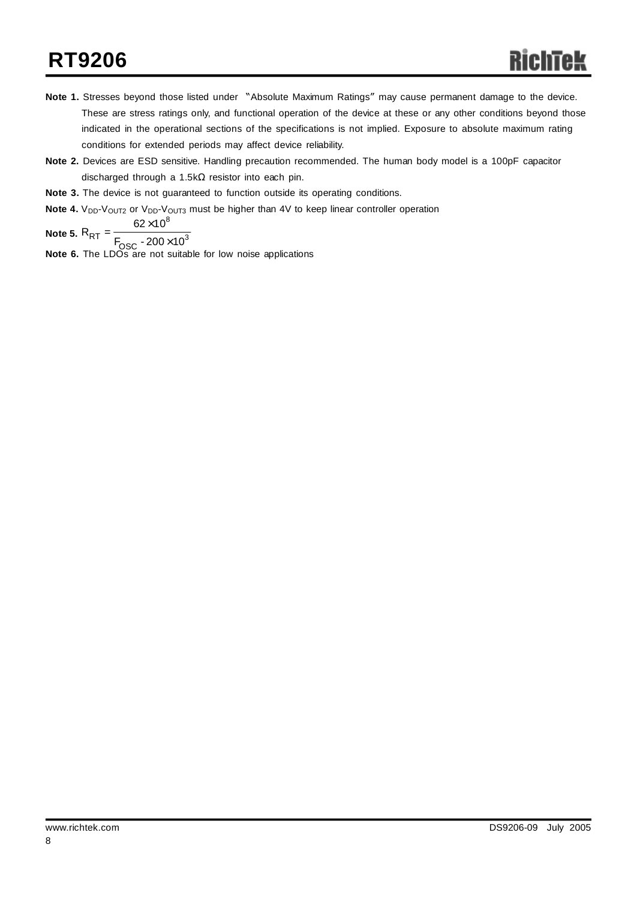# **RT9206**

- **Note 1.** Stresses beyond those listed under "Absolute Maximum Ratings" may cause permanent damage to the device. These are stress ratings only, and functional operation of the device at these or any other conditions beyond those indicated in the operational sections of the specifications is not implied. Exposure to absolute maximum rating conditions for extended periods may affect device reliability.
- **Note 2.** Devices are ESD sensitive. Handling precaution recommended. The human body model is a 100pF capacitor discharged through a 1.5kΩ resistor into each pin.
- **Note 3.** The device is not guaranteed to function outside its operating conditions.
- **Note 4.** V<sub>DD</sub>-V<sub>OUT2</sub> or V<sub>DD</sub>-V<sub>OUT3</sub> must be higher than 4V to keep linear controller operation

Note 5. 
$$
R_{RT} = \frac{62 \times 10^8}{F_{OSC} - 200 \times 10^3}
$$

**Note 6.** The LDOs are not suitable for low noise applications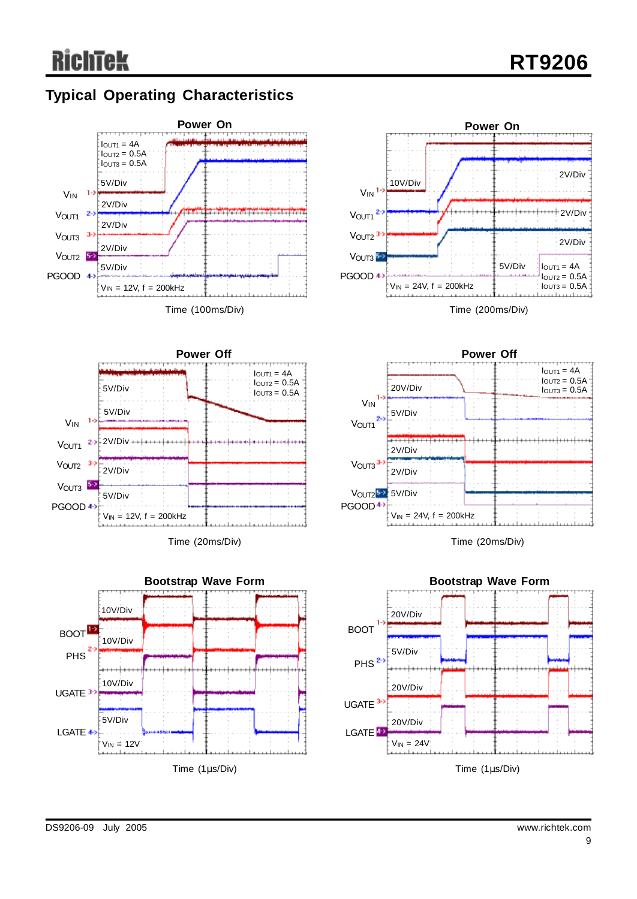# **Typical Operating Characteristics**







Time (20ms/Div)





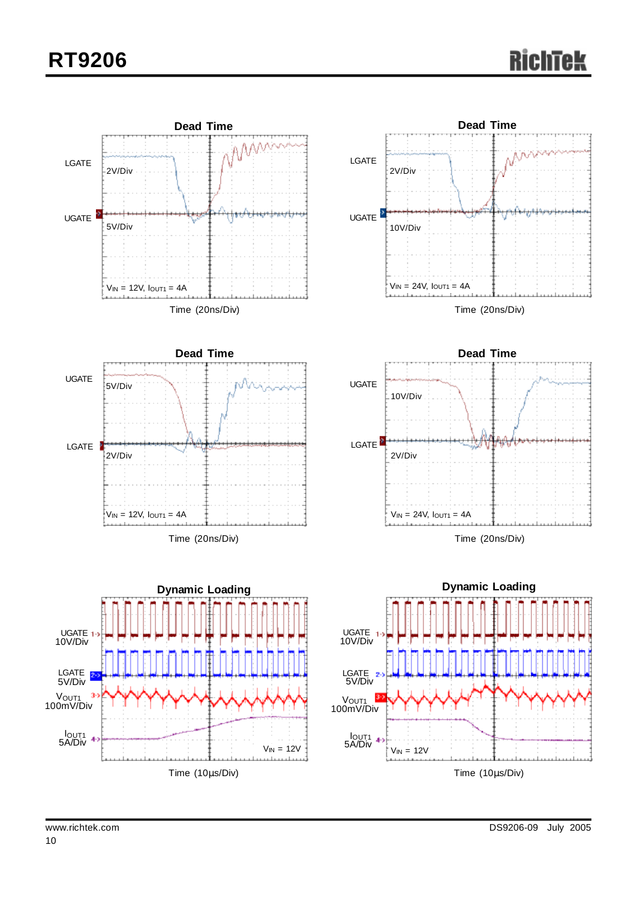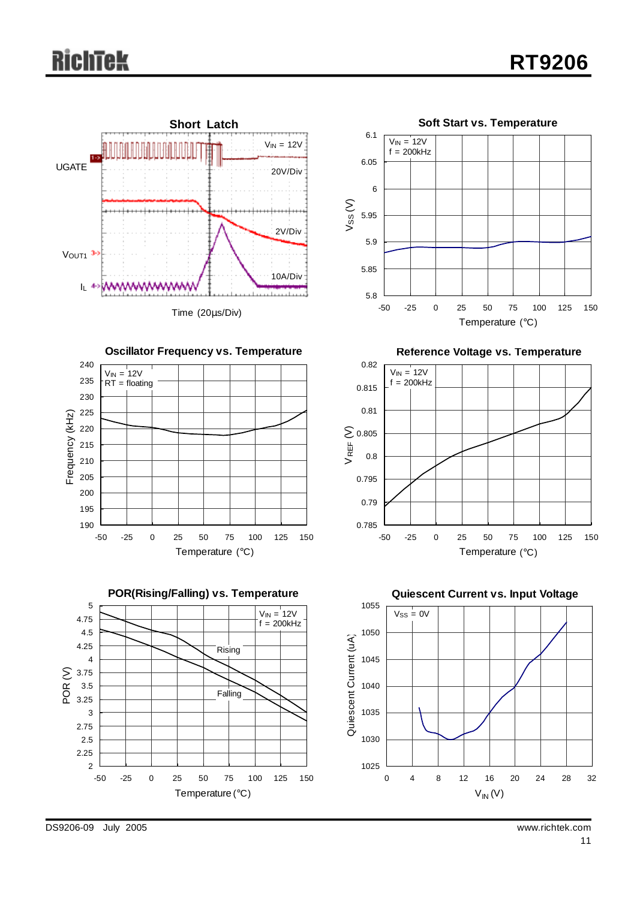# **RichTek**









**Reference Voltage vs. Temperature**





DS9206-09 July 2005 www.richtek.com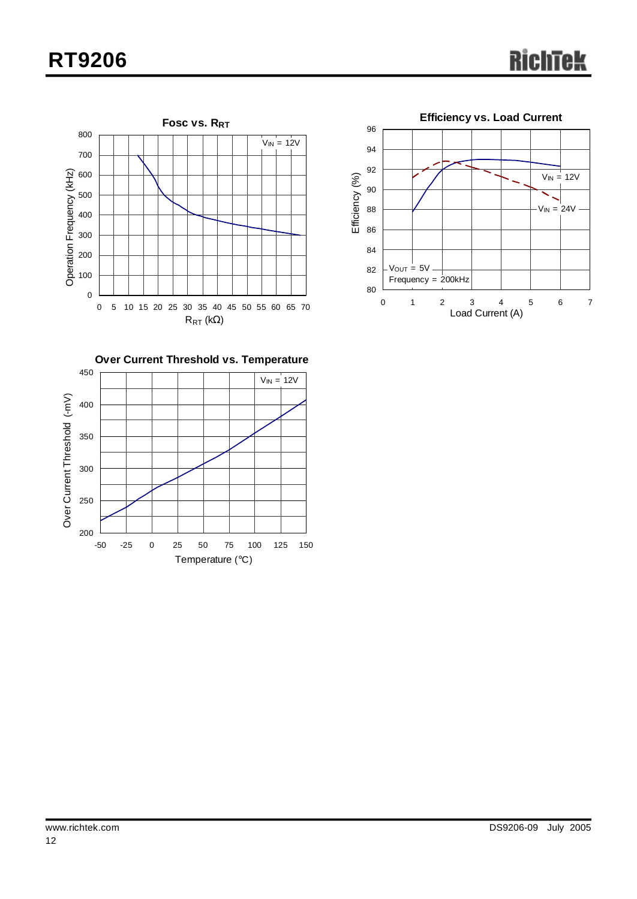# **RT9206**





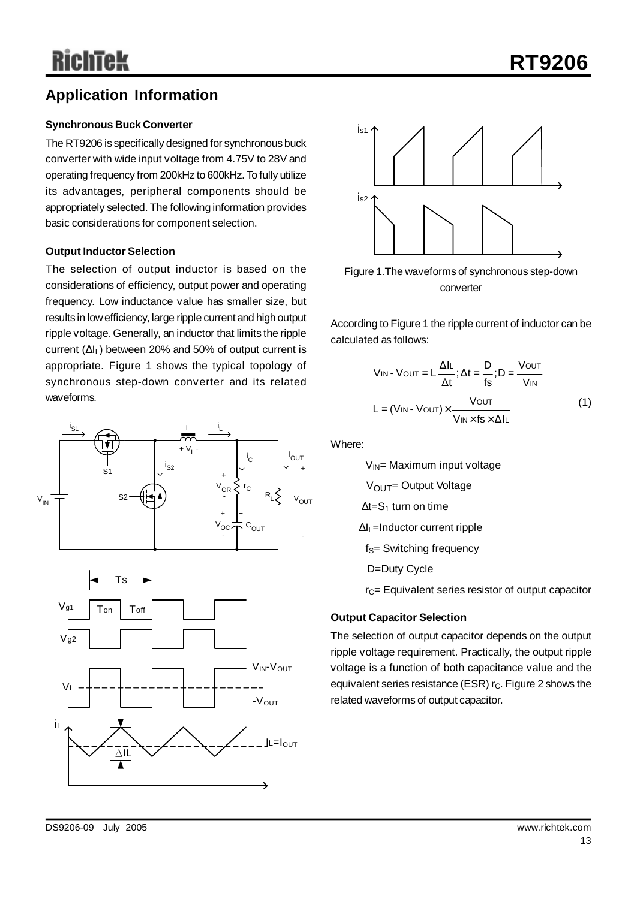# **Application Information**

#### **Synchronous Buck Converter**

The RT9206 is specifically designed for synchronous buck converter with wide input voltage from 4.75V to 28V and operating frequency from 200kHz to 600kHz.To fully utilize its advantages, peripheral components should be appropriately selected. The following information provides basic considerations for component selection.

#### **Output Inductor Selection**

The selection of output inductor is based on the considerations of efficiency, output power and operating frequency. Low inductance value has smaller size, but results in lowefficiency, large ripple current and high output ripple voltage.Generally, an inductor that limits the ripple current (ΔIL) between 20% and 50% of output current is appropriate. Figure 1 shows the typical topology of synchronous step-down converter and its related waveforms.







Figure 1.The waveforms of synchronous step-down converter

According to Figure 1 the ripple current of inductor can be calculated as follows:

$$
V_{IN} - V_{OUT} = L \frac{\Delta I_{L}}{\Delta t}; \Delta t = \frac{D}{fs}; D = \frac{V_{OUT}}{V_{IN}}
$$

$$
L = (V_{IN} - V_{OUT}) \times \frac{V_{OUT}}{V_{IN} \times fs \times \Delta I_{L}}
$$
(1)

Where:

 $V_{IN}$ = Maximum input voltage  $V<sub>OUT</sub> = Output Voltage$  $\Delta t = S_1$  turn on time ΔIL=Inductor current ripple  $f<sub>S</sub>=$  Switching frequency D=Duty Cycle

 $r<sub>C</sub>=$  Equivalent series resistor of output capacitor

#### **Output Capacitor Selection**

The selection of output capacitor depends on the output ripple voltage requirement. Practically, the output ripple voltage is a function of both capacitance value and the equivalent series resistance (ESR)  $r<sub>C</sub>$ . Figure 2 shows the related waveforms of output capacitor.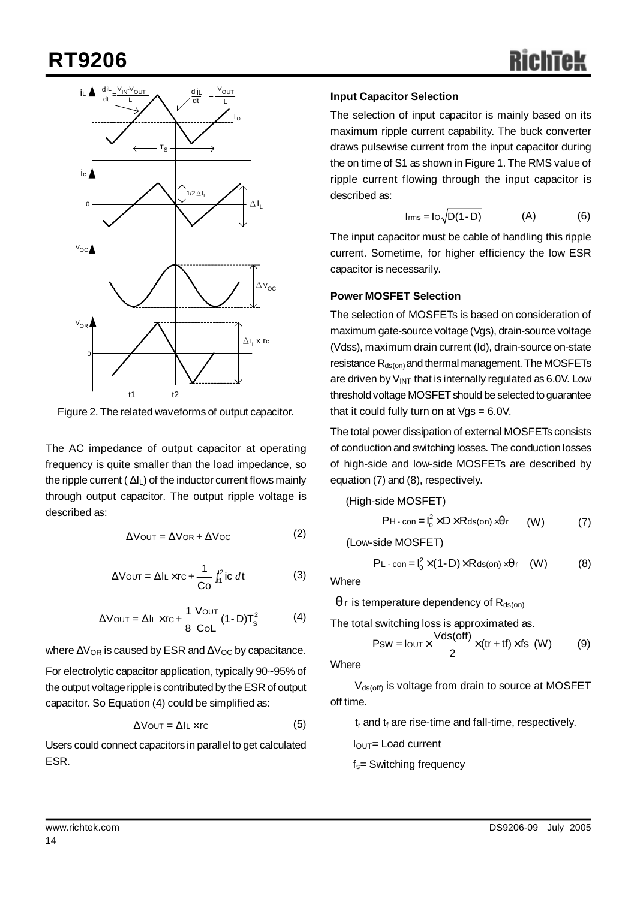# **RT9206**



Figure 2. The related waveforms of output capacitor.

The AC impedance of output capacitor at operating frequency is quite smaller than the load impedance, so the ripple current  $(\Delta I_L)$  of the inductor current flows mainly through output capacitor. The output ripple voltage is described as:

$$
\Delta \text{Vout} = \Delta \text{Vor} + \Delta \text{Voc} \tag{2}
$$

$$
\Delta \text{Vout} = \Delta I L \times r c + \frac{1}{C_0} \int_{t_1}^{t_2} i c \, dt \tag{3}
$$

$$
\Delta V_{\text{OUT}} = \Delta I_{\text{L}} \times r_{\text{C}} + \frac{1}{8} \frac{V_{\text{OUT}}}{\text{Col}} (1 - D) T_{\text{S}}^2 \tag{4}
$$

where  $\Delta V_{OR}$  is caused by ESR and  $\Delta V_{OC}$  by capacitance. For electrolytic capacitor application, typically 90~95% of the output voltage ripple is contributed by the ESR of output capacitor. So Equation (4) could be simplified as:

$$
\Delta V_{\text{OUT}} = \Delta I_{\text{L}} \times r_{\text{C}} \tag{5}
$$

Users could connect capacitors in parallel to get calculated ESR.

### **Input Capacitor Selection**

The selection of input capacitor is mainly based on its maximum ripple current capability. The buck converter draws pulsewise current from the input capacitor during the on time of S1 as shown in Figure 1. The RMS value of ripple current flowing through the input capacitor is described as:

$$
I_{\text{rms}} = I \circ \sqrt{D(1 - D)} \tag{A}
$$

The input capacitor must be cable of handling this ripple current. Sometime, for higher efficiency the low ESR capacitor is necessarily.

#### **Power MOSFET Selection**

The selection of MOSFETs is based on consideration of maximum gate-source voltage (Vgs), drain-source voltage (Vdss), maximum drain current (Id), drain-source on-state resistance  $R_{ds(on)}$  and thermal management. The MOSFETs are driven by  $V_{INT}$  that is internally regulated as 6.0V. Low threshold voltage MOSFET should be selected to guarantee that it could fully turn on at  $Vgs = 6.0V$ .

The total power dissipation of external MOSFETs consists of conduction and switching losses. The conduction losses of high-side and low-side MOSFETs are described by equation (7) and (8), respectively.

#### (High-side MOSFET)

$$
PH\text{-}\operatorname{con}=\mathsf{I}_0^2\times D\times R\operatorname{ds}(on)\times qr\qquad\text{(W)}\qquad\qquad(7)
$$

(Low-side MOSFET)

$$
PL\text{-con} = I_0^2 \times (1-D) \times R \text{ds}(on) \times qr \quad (W) \tag{8}
$$

**Where** 

 $q$  r is temperature dependency of  $R_{ds(on)}$ 

The total switching loss is approximated as.

$$
Psw = I_{\text{OUT}} \times \frac{\text{Vds(off)}}{2} \times \text{(tr+tf)} \times \text{fs (W)} \tag{9}
$$

**Where** 

 $V_{ds(off)}$  is voltage from drain to source at MOSFET off time.

 $t_r$  and  $t_f$  are rise-time and fall-time, respectively.

IOUT= Load current

 $f_s$ = Switching frequency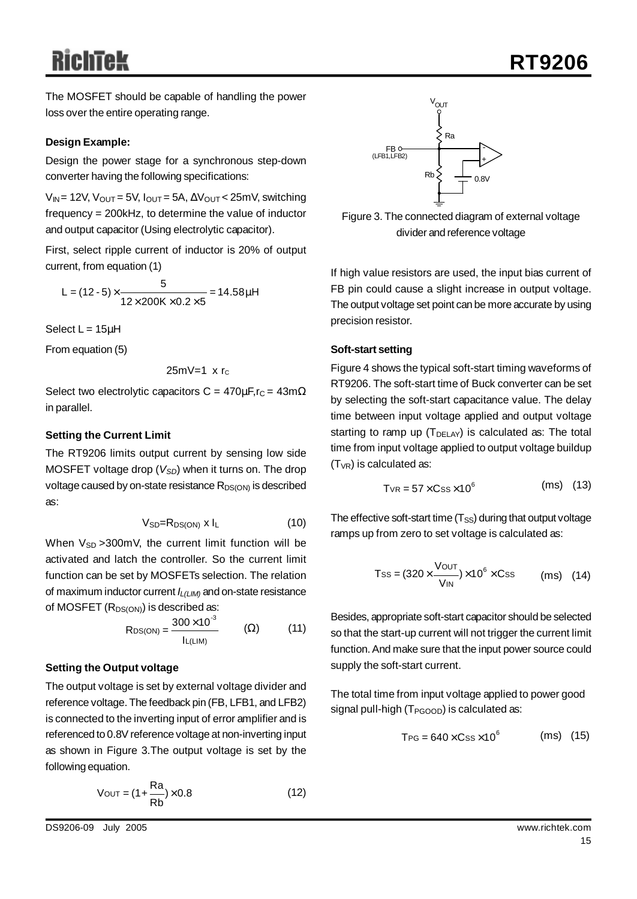The MOSFET should be capable of handling the power loss over the entire operating range.

#### **Design Example:**

Design the power stage for a synchronous step-down converter having the following specifications:

 $V_{IN}$  = 12V,  $V_{OUT}$  = 5V,  $I_{OUT}$  = 5A,  $\Delta V_{OUT}$  < 25mV, switching frequency = 200kHz, to determine the value of inductor and output capacitor (Using electrolytic capacitor).

First, select ripple current of inductor is 20% of output current, from equation (1)

L = 
$$
(12-5) \times \frac{5}{12 \times 200 \text{K} \times 0.2 \times 5}
$$
 = 14.58 mH

Select  $L = 15\mu H$ 

From equation (5)

$$
25 \text{mV} = 1 \times r_{\text{c}}
$$

Select two electrolytic capacitors C =  $470 \mu F$ , r<sub>C</sub> =  $43 \text{m}\Omega$ in parallel.

#### **Setting the Current Limit**

The RT9206 limits output current by sensing low side MOSFET voltage drop ( $V_{SD}$ ) when it turns on. The drop voltage caused by on-state resistance  $R_{DS(ON)}$  is described as:

$$
V_{SD} = R_{DS(ON)} \times I_L \tag{10}
$$

When  $V_{SD} > 300$  mV, the current limit function will be activated and latch the controller. So the current limit function can be set by MOSFETs selection. The relation of maximum inductor current *IL(LIM)* and on-state resistance of MOSFET  $(R_{DS(ON)})$  is described as:

$$
RDS(ON) = \frac{300 \times 10^{-3}}{I_{L(LIM)}} \qquad (Ω)
$$
 (11)

#### **Setting the Output voltage**

The output voltage is set by external voltage divider and reference voltage.The feedback pin (FB, LFB1, and LFB2) is connected to the inverting input of error amplifier and is referenced to 0.8V reference voltage at non-inverting input as shown in Figure 3.The output voltage is set by the following equation.

$$
V_{\text{OUT}} = (1 + \frac{Ra}{Rb}) \times 0.8 \tag{12}
$$



Figure 3. The connected diagram of external voltage divider and reference voltage

If high value resistors are used, the input bias current of FB pin could cause a slight increase in output voltage. The output voltage set point can be more accurate by using precision resistor.

#### **Soft-start setting**

Figure 4 shows the typical soft-start timing waveforms of RT9206. The soft-start time of Buck converter can be set by selecting the soft-start capacitance value. The delay time between input voltage applied and output voltage starting to ramp up  $(T_{DELAY})$  is calculated as: The total time from input voltage applied to output voltage buildup  $(T_{VR})$  is calculated as:

$$
T_{VR} = 57 \times Css \times 10^6 \qquad (ms) \quad (13)
$$

The effective soft-start time  $(T_{SS})$  during that output voltage ramps up from zero to set voltage is calculated as:

$$
Tss = (320 \times \frac{V_{\text{OUT}}}{V_{\text{IN}}}) \times 10^6 \times \text{Css} \qquad \text{(ms)} \quad (14)
$$

Besides, appropriate soft-start capacitor should be selected so that the start-up current will not trigger the current limit function.And make sure that the input power source could supply the soft-start current.

The total time from input voltage applied to power good signal pull-high (T<sub>PGOOD</sub>) is calculated as:

$$
T_{PG} = 640 \times Css \times 10^6 \qquad (ms) (15)
$$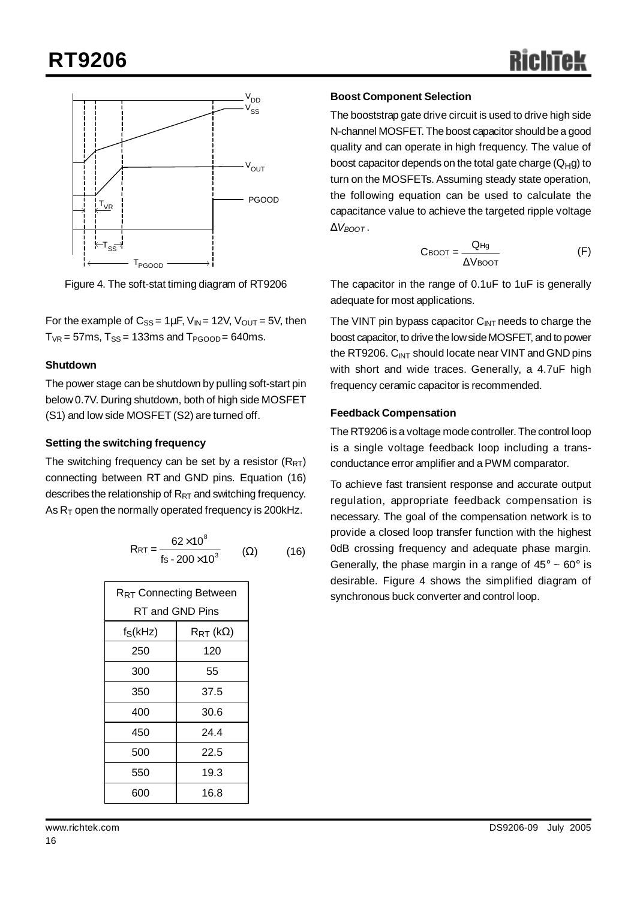

Figure 4. The soft-stat timing diagram of RT9206

For the example of  $C_{SS} = 1 \mu F$ ,  $V_{IN} = 12V$ ,  $V_{OUT} = 5V$ , then  $T_{VR}$  = 57ms,  $T_{SS}$  = 133ms and  $T_{PGOOD}$  = 640ms.

#### **Shutdown**

The power stage can be shutdown by pulling soft-start pin below 0.7V. During shutdown, both of high side MOSFET (S1) and low side MOSFET (S2) are turned off.

#### **Setting the switching frequency**

The switching frequency can be set by a resistor  $(R_{RT})$ connecting between RT and GND pins. Equation (16) describes the relationship of  $R_{RT}$  and switching frequency. As  $R<sub>T</sub>$  open the normally operated frequency is 200kHz.

$$
R_{RT} = \frac{62 \times 10^8}{fs \cdot 200 \times 10^3} \qquad (\Omega) \qquad (16)
$$

| R <sub>RT</sub> Connecting Between |                                 |  |  |  |  |
|------------------------------------|---------------------------------|--|--|--|--|
| RT and GND Pins                    |                                 |  |  |  |  |
| $f_S(kHz)$                         | $\mathsf{R}_{\mathsf{RT}}$ (kΩ) |  |  |  |  |
| 250                                | 120                             |  |  |  |  |
| 300                                | 55                              |  |  |  |  |
| 350                                | 37.5                            |  |  |  |  |
| 400                                | 30.6                            |  |  |  |  |
| 450                                | 24 4                            |  |  |  |  |
| 500                                | 22.5                            |  |  |  |  |
| 550                                | 19.3                            |  |  |  |  |
| 600                                | 16.8                            |  |  |  |  |

## **Boost Component Selection**

The booststrap gate drive circuit is used to drive high side N-channel MOSFET.The boost capacitor should be a good quality and can operate in high frequency. The value of boost capacitor depends on the total gate charge  $(Q_H g)$  to turn on the MOSFETs. Assuming steady state operation, the following equation can be used to calculate the capacitance value to achieve the targeted ripple voltage  $D$ *V<sub>BOOT</sub>*.

$$
C\text{boot} = \frac{QHg}{\Delta V\text{boot}} \tag{F}
$$

The capacitor in the range of 0.1uF to 1uF is generally adequate for most applications.

The VINT pin bypass capacitor  $C_{INT}$  needs to charge the boost capacitor, to drive the low side MOSFET, and to power the RT9206.  $C_{INT}$  should locate near VINT and GND pins with short and wide traces. Generally, a 4.7uF high frequency ceramic capacitor is recommended.

#### **Feedback Compensation**

The RT9206 is a voltage mode controller. The control loop is a single voltage feedback loop including a transconductance error amplifier and a PWM comparator.

To achieve fast transient response and accurate output regulation, appropriate feedback compensation is necessary. The goal of the compensation network is to provide a closed loop transfer function with the highest 0dB crossing frequency and adequate phase margin. Generally, the phase margin in a range of  $45^{\circ} \sim 60^{\circ}$  is desirable. Figure 4 shows the simplified diagram of synchronous buck converter and control loop.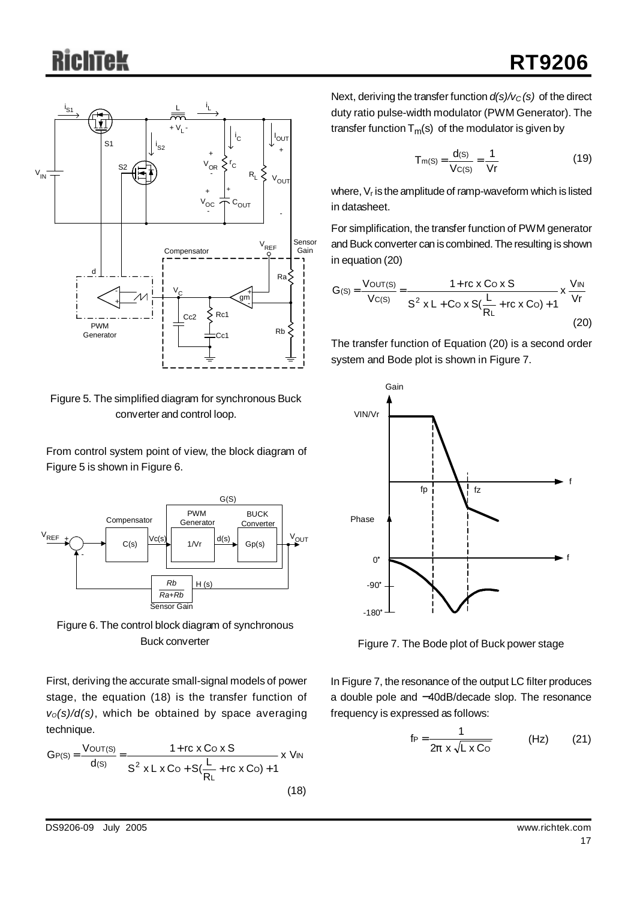

Figure 5. The simplified diagram for synchronous Buck converter and control loop.

From control system point of view, the block diagram of Figure 5 is shown in Figure 6.



Figure 6. The control block diagram of synchronous Buck converter

First, deriving the accurate small-signal models of power stage, the equation (18) is the transfer function of *vO(s)/d(s)*, which be obtained by space averaging technique.

$$
GP(S) = \frac{V_{OUT}(S)}{d(S)} = \frac{1 + rc \times Co \times S}{S^2 \times L \times Co + S(\frac{L}{R_L} + rc \times Co) + 1} \times V_{IN}
$$
\n(18)

Next, deriving the transfer function *d(s)/vC (s)* of the direct duty ratio pulse-width modulator (PWM Generator). The transfer function  $T_m(s)$  of the modulator is given by

$$
T_{m(S)} = \frac{d_{(S)}}{V_{C(S)}} = \frac{1}{Vr}
$$
 (19)

where, V<sub>r</sub> is the amplitude of ramp-waveform which is listed in datasheet.

For simplification, the transfer function of PWM generator and Buck converter can is combined. The resulting is shown in equation (20)

$$
G(s) = \frac{V_{OUT(S)}}{V_{C(S)}} = \frac{1 + rc \times Co \times S}{S^2 \times L + Co \times S(\frac{L}{R_L} + rc \times Co) + 1} \times \frac{V_{IN}}{Vr}
$$
\n(20)

The transfer function of Equation (20) is a second order system and Bode plot is shown in Figure 7.



Figure 7. The Bode plot of Buck power stage

In Figure 7, the resonance of the output LC filter produces a double pole and −40dB/decade slop. The resonance frequency is expressed as follows:

$$
f_P = \frac{1}{2p \times \sqrt{L \times C_O}}
$$
 (Hz) (21)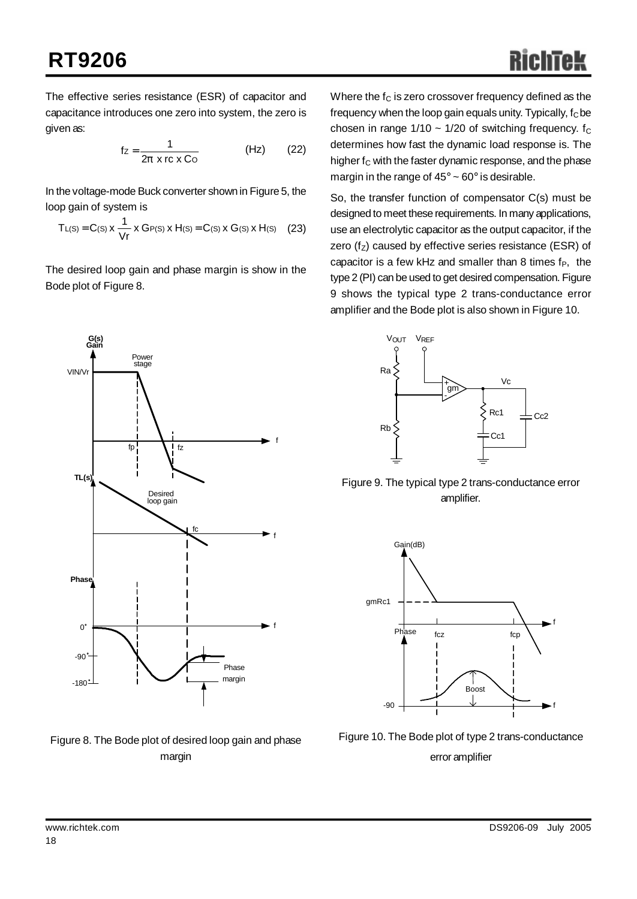The effective series resistance (ESR) of capacitor and capacitance introduces one zero into system, the zero is given as:

$$
f_Z = \frac{1}{2p \times rc \times Co}
$$
 (Hz) (22)

In the voltage-mode Buck converter shown in Figure 5, the loop gain of system is

$$
T_{L(S)} = C(s) \times \frac{1}{Vr} \times G_{P(S)} \times H(s) = C(s) \times G(s) \times H(s) \quad (23)
$$

The desired loop gain and phase margin is show in the Bode plot of Figure 8.

Where the  $f_C$  is zero crossover frequency defined as the frequency when the loop gain equals unity. Typically,  $f<sub>C</sub>$  be chosen in range  $1/10 \sim 1/20$  of switching frequency. f<sub>C</sub> determines how fast the dynamic load response is. The higher  $f_C$  with the faster dynamic response, and the phase margin in the range of  $45^{\circ} \sim 60^{\circ}$  is desirable.

So, the transfer function of compensator C(s) must be designed to meet these requirements. In many applications, use an electrolytic capacitor as the output capacitor, if the zero ( $f_Z$ ) caused by effective series resistance (ESR) of capacitor is a few kHz and smaller than 8 times  $f_P$ , the type 2 (PI) can be used to get desired compensation. Figure 9 shows the typical type 2 trans-conductance error amplifier and the Bode plot is also shown in Figure 10.







Figure 9. The typical type 2 trans-conductance error amplifier.



Figure 10. The Bode plot of type 2 trans-conductance error amplifier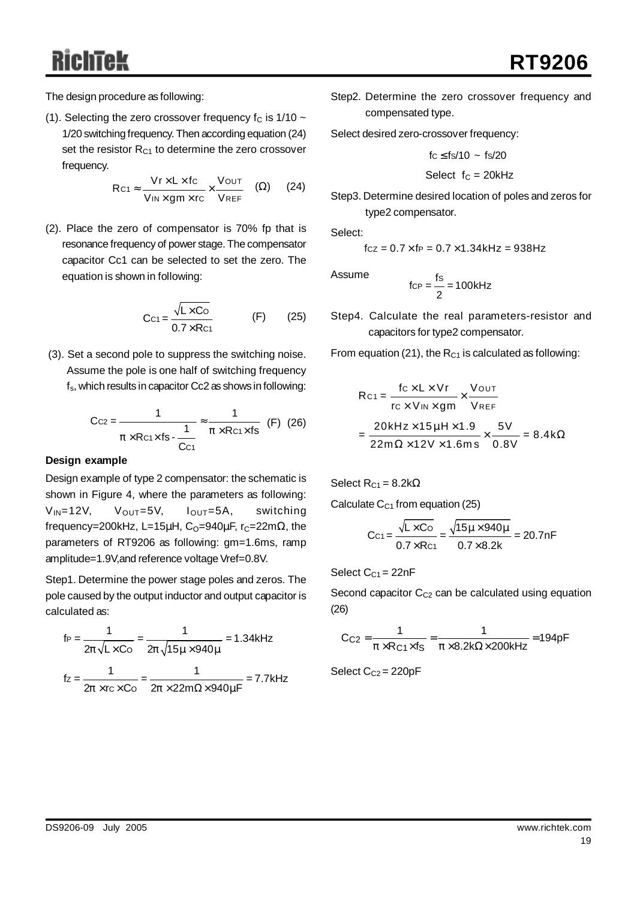The design procedure as following:

(1). Selecting the zero crossover frequency  $f_c$  is 1/10  $\sim$ 1/20 switching frequency.Then according equation (24) set the resistor  $R_{C1}$  to determine the zero crossover frequency.

$$
\mathsf{Rc1} \approx \frac{\mathsf{Vr} \times \mathsf{L} \times \mathsf{fc}}{\mathsf{V}_{\mathsf{IN}} \times \mathsf{gm} \times \mathsf{rc}} \times \frac{\mathsf{V} \text{OUT}}{\mathsf{V} \text{REF}} \quad (\Omega) \tag{24}
$$

(2). Place the zero of compensator is 70% fp that is resonance frequency of power stage.The compensator capacitor Cc1 can be selected to set the zero. The equation is shown in following:

$$
Cc1 = \frac{\sqrt{L \times Co}}{0.7 \times Re1} \qquad (F) \qquad (25)
$$

(3). Set a second pole to suppress the switching noise. Assume the pole is one half of switching frequency fs, which results in capacitor Cc2 as shows in following:

$$
Ccz = \frac{1}{p \times Rc1 \times fs - \frac{1}{Cc1}} \approx \frac{1}{p \times Rc1 \times fs}
$$
 (F) (26)

#### **Design example**

Design example of type 2 compensator: the schematic is shown in Figure 4, where the parameters as following:  $V_{IN}$ =12V,  $V_{OUT}$ =5V,  $I_{OUT}$ =5A, switching frequency=200kHz, L=15 $\mu$ H, C<sub>O</sub>=940 $\mu$ F, r<sub>C</sub>=22m $\Omega$ , the parameters of RT9206 as following: gm=1.6ms, ramp amplitude=1.9V,and reference voltage Vref=0.8V.

Step1. Determine the power stage poles and zeros. The pole caused by the output inductor and output capacitor is calculated as:

$$
f_P = \frac{1}{2p\sqrt{L \times Co}} = \frac{1}{2p\sqrt{15m \times 940m}} = 1.34 \text{kHz}
$$
  

$$
f_Z = \frac{1}{2p \times rc \times Co} = \frac{1}{2p \times 22m\Omega \times 940mF} = 7.7 \text{kHz}
$$

Step2. Determine the zero crossover frequency and compensated type.

Select desired zero-crossover frequency:

$$
\mathsf{fc} \leq \mathsf{fs}/10 \sim \mathsf{fs}/20
$$

$$
Select f_C = 20 kHz
$$

Step3. Determine desired location of poles and zeros for type2 compensator.

Select:

$$
fcz = 0.7 \times fp = 0.7 \times 1.34kHz = 938Hz
$$

Assume

$$
f_{CP} = \frac{fs}{2} = 100kHz
$$

Step4. Calculate the real parameters-resistor and capacitors for type2 compensator.

From equation (21), the  $R_{C1}$  is calculated as following:

$$
Rc_1 = \frac{fc \times L \times Vr}{rc \times Vm \times gm} \times \frac{Vour}{V_{REF}}
$$

$$
= \frac{20kHz \times 15mH \times 1.9}{22m\Omega \times 12V \times 1.6ms} \times \frac{5V}{0.8V} = 8.4k\Omega
$$

Select  $R_{C1} = 8.2k\Omega$ 

Calculate  $C_{C1}$  from equation (25)

$$
Cc1 = \frac{\sqrt{L \times Co}}{0.7 \times Re1} = \frac{\sqrt{15m \times 940m}}{0.7 \times 8.2k} = 20.7nF
$$

Select  $C_{C1} = 22nF$ 

Second capacitor  $C_{C2}$  can be calculated using equation (26)

$$
C_{C2} = \frac{1}{p \times R_{C1} \times f_S} = \frac{1}{p \times 8.2k\Omega \times 200kHz} = 194pF
$$

Select  $C_{C2} = 220pF$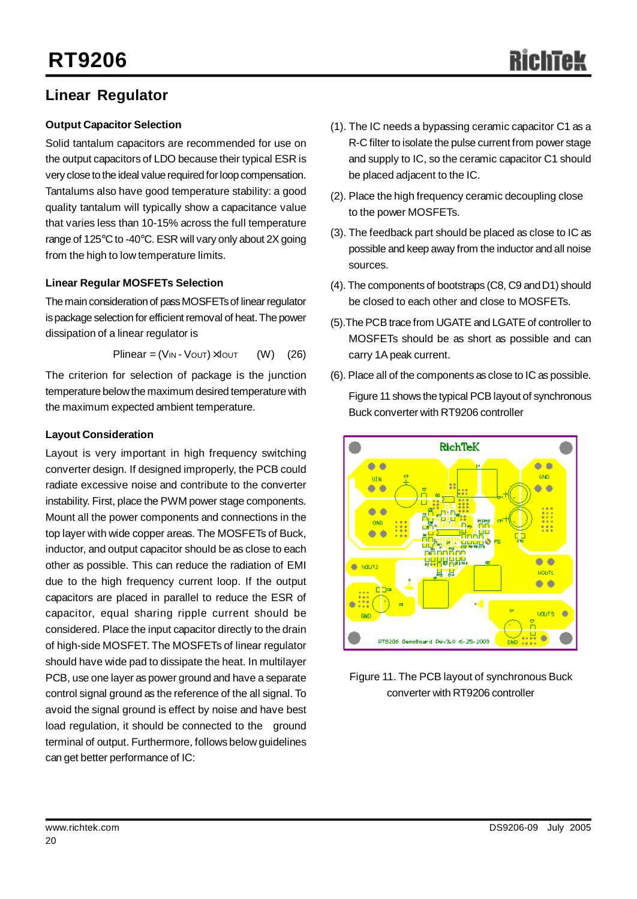# **Linear Regulator**

## **Output Capacitor Selection**

Solid tantalum capacitors are recommended for use on the output capacitors of LDO because their typical ESR is very close to the ideal value required for loop compensation. Tantalums also have good temperature stability: a good quality tantalum will typically show a capacitance value that varies less than 10-15% across the full temperature range of 125 $\degree$ C to -40 $\degree$ C. ESR will vary only about 2X going from the high to low temperature limits.

## **Linear Regular MOSFETs Selection**

The main consideration of pass MOSFETs of linear regulator is package selection for efficient removal of heat. The power dissipation of a linear regulator is

$$
Plinear = (V_{IN} - V_{OUT}) \times I_{OUT} \qquad (W) \qquad (26)
$$

The criterion for selection of package is the junction temperature belowthe maximum desired temperature with the maximum expected ambient temperature.

## **Layout Consideration**

Layout is very important in high frequency switching converter design. If designed improperly, the PCB could radiate excessive noise and contribute to the converter instability. First, place the PWM power stage components. Mount all the power components and connections in the top layer with wide copper areas. The MOSFETs of Buck, inductor, and output capacitor should be as close to each other as possible. This can reduce the radiation of EMI due to the high frequency current loop. If the output capacitors are placed in parallel to reduce the ESR of capacitor, equal sharing ripple current should be considered. Place the input capacitor directly to the drain of high-side MOSFET. The MOSFETs of linear regulator should have wide pad to dissipate the heat. In multilayer PCB, use one layer as power ground and have a separate control signal ground as the reference of the all signal. To avoid the signal ground is effect by noise and have best load regulation, it should be connected to the ground terminal of output. Furthermore, follows below guidelines can get better performance of IC:

- (1). The IC needs a bypassing ceramic capacitor C1 as a R-C filter to isolate the pulse current from power stage and supply to IC, so the ceramic capacitor C1 should be placed adjacent to the IC.
- (2). Place the high frequency ceramic decoupling close to the power MOSFETs.
- (3). The feedback part should be placed as close to IC as possible and keep away from the inductor and all noise sources.
- (4). The components of bootstraps (C8, C9 andD1) should be closed to each other and close to MOSFETs.
- (5). The PCB trace from UGATE and LGATE of controller to MOSFETs should be as short as possible and can carry 1A peak current.
- (6). Place all of the components as close to IC as possible.



Figure 11. The PCB layout of synchronous Buck converter with RT9206 controller

Figure 11 shows the typical PCBlayout of synchronous Buck converter with RT9206 controller